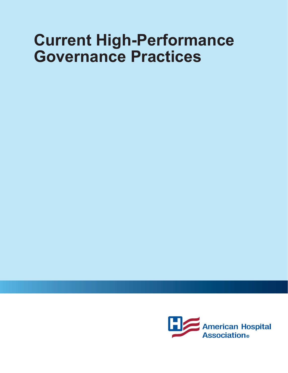# **Current High-Performance Governance Practices**

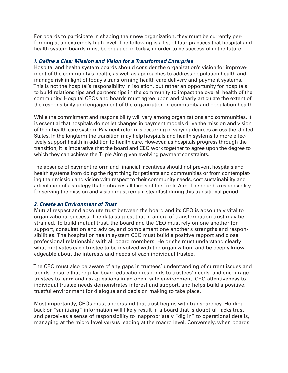For boards to participate in shaping their new organization, they must be currently performing at an extremely high level. The following is a list of four practices that hospital and health system boards must be engaged in today, in order to be successful in the future.

# *1. Define a Clear Mission and Vision for a Transformed Enterprise*

Hospital and health system boards should consider the organization's vision for improvement of the community's health, as well as approaches to address population health and manage risk in light of today's transforming health care delivery and payment systems. This is not the hospital's responsibility in isolation, but rather an opportunity for hospitals to build relationships and partnerships in the community to impact the overall health of the community. Hospital CEOs and boards must agree upon and clearly articulate the extent of the responsibility and engagement of the organization in community and population health.

While the commitment and responsibility will vary among organizations and communities, it is essential that hospitals do not let changes in payment models drive the mission and vision of their health care system. Payment reform is occurring in varying degrees across the United States. In the longterm the transition may help hospitals and health systems to more effectively support health in addition to health care. However, as hospitals progress through the transition, it is imperative that the board and CEO work together to agree upon the degree to which they can achieve the Triple Aim given evolving payment constraints.

The absence of payment reform and financial incentives should not prevent hospitals and health systems from doing the right thing for patients and communities or from contemplating their mission and vision with respect to their community needs, cost sustainability and articulation of a strategy that embraces all facets of the Triple Aim. The board's responsibility for serving the mission and vision must remain steadfast during this transitional period.

# *2. Create an Environment of Trust*

Mutual respect and absolute trust between the board and its CEO is absolutely vital to organizational success. The data suggest that in an era of transformation trust may be strained. To build mutual trust, the board and the CEO must rely on one another for support, consultation and advice, and complement one another's strengths and responsibilities. The hospital or health system CEO must build a positive rapport and close professional relationship with all board members. He or she must understand clearly what motivates each trustee to be involved with the organization, and be deeply knowledgeable about the interests and needs of each individual trustee.

The CEO must also be aware of any gaps in trustees' understanding of current issues and trends, ensure that regular board education responds to trustees' needs, and encourage trustees to learn and ask questions in an open, safe environment. CEO attentiveness to individual trustee needs demonstrates interest and support, and helps build a positive, trustful environment for dialogue and decision making to take place.

Most importantly, CEOs must understand that trust begins with transparency. Holding back or "sanitizing" information will likely result in a board that is doubtful, lacks trust and perceives a sense of responsibility to inappropriately "dig in" to operational details, managing at the micro level versus leading at the macro level. Conversely, when boards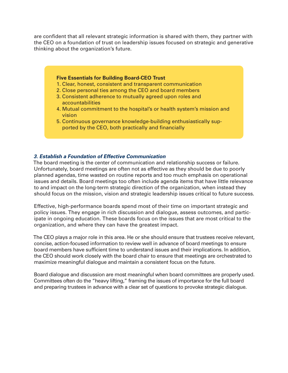are confident that all relevant strategic information is shared with them, they partner with the CEO on a foundation of trust on leadership issues focused on strategic and generative thinking about the organization's future.

## **Five Essentials for Building Board-CEO Trust**

- 1. Clear, honest, consistent and transparent communication
- 2. Close personal ties among the CEO and board members
- 3. Consistent adherence to mutually agreed upon roles and accountabilities
- 4. Mutual commitment to the hospital's or health system's mission and vision
- 5. Continuous governance knowledge-building enthusiastically supported by the CEO, both practically and financially

# *3. Establish a Foundation of Effective Communication*

The board meeting is the center of communication and relationship success or failure. Unfortunately, board meetings are often not as effective as they should be due to poorly planned agendas, time wasted on routine reports and too much emphasis on operational issues and details. Board meetings too often include agenda items that have little relevance to and impact on the long-term strategic direction of the organization, when instead they should focus on the mission, vision and strategic leadership issues critical to future success.

Effective, high-performance boards spend most of their time on important strategic and policy issues. They engage in rich discussion and dialogue, assess outcomes, and participate in ongoing education. These boards focus on the issues that are most critical to the organization, and where they can have the greatest impact.

The CEO plays a major role in this area. He or she should ensure that trustees receive relevant, concise, action-focused information to review well in advance of board meetings to ensure board members have sufficient time to understand issues and their implications. In addition, the CEO should work closely with the board chair to ensure that meetings are orchestrated to maximize meaningful dialogue and maintain a consistent focus on the future.

Board dialogue and discussion are most meaningful when board committees are properly used. Committees often do the "heavy lifting," framing the issues of importance for the full board and preparing trustees in advance with a clear set of questions to provoke strategic dialogue.